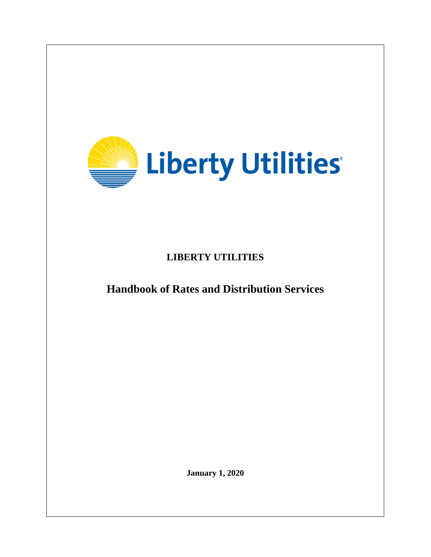

**LIBERTY UTILITIES**

**Handbook of Rates and Distribution Services**

**January 1, 2020**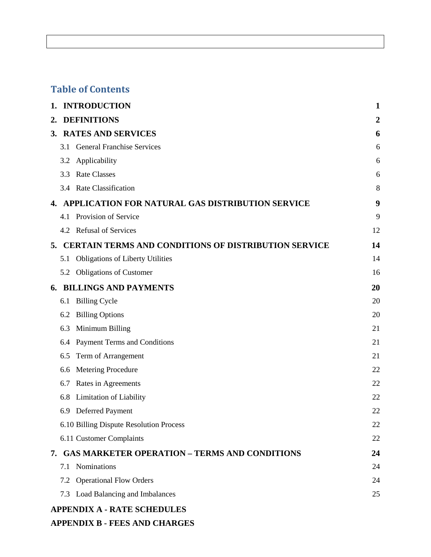# **Table of Contents**

| 1. |     | <b>INTRODUCTION</b>                                         | $\mathbf{1}$   |
|----|-----|-------------------------------------------------------------|----------------|
| 2. |     | <b>DEFINITIONS</b>                                          | $\overline{2}$ |
| 3. |     | <b>RATES AND SERVICES</b>                                   | 6              |
|    | 3.1 | <b>General Franchise Services</b>                           | 6              |
|    | 3.2 | Applicability                                               | 6              |
|    | 3.3 | <b>Rate Classes</b>                                         | 6              |
|    |     | 3.4 Rate Classification                                     | 8              |
| 4. |     | APPLICATION FOR NATURAL GAS DISTRIBUTION SERVICE            | 9              |
|    | 4.1 | Provision of Service                                        | 9              |
|    |     | 4.2 Refusal of Services                                     | 12             |
| 5. |     | <b>CERTAIN TERMS AND CONDITIONS OF DISTRIBUTION SERVICE</b> | 14             |
|    | 5.1 | <b>Obligations of Liberty Utilities</b>                     | 14             |
|    | 5.2 | <b>Obligations of Customer</b>                              | 16             |
|    |     | <b>6. BILLINGS AND PAYMENTS</b>                             | 20             |
|    | 6.1 | <b>Billing Cycle</b>                                        | 20             |
|    | 6.2 | <b>Billing Options</b>                                      | 20             |
|    | 6.3 | Minimum Billing                                             | 21             |
|    | 6.4 | Payment Terms and Conditions                                | 21             |
|    | 6.5 | Term of Arrangement                                         | 21             |
|    | 6.6 | Metering Procedure                                          | 22             |
|    | 6.7 | Rates in Agreements                                         | 22             |
|    | 6.8 | <b>Limitation of Liability</b>                              | 22             |
|    | 6.9 | <b>Deferred Payment</b>                                     | 22             |
|    |     | 6.10 Billing Dispute Resolution Process                     | 22             |
|    |     | 6.11 Customer Complaints                                    | 22             |
|    |     | 7. GAS MARKETER OPERATION - TERMS AND CONDITIONS            | 24             |
|    |     | 7.1 Nominations                                             | 24             |
|    |     | 7.2 Operational Flow Orders                                 | 24             |
|    |     | 7.3 Load Balancing and Imbalances                           | 25             |
|    |     | <b>APPENDIX A - RATE SCHEDULES</b>                          |                |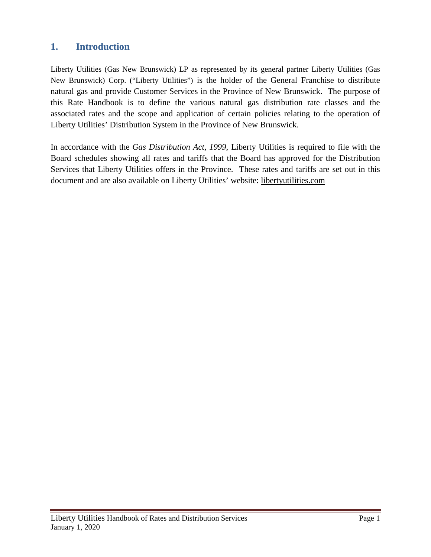# <span id="page-2-0"></span>**1. Introduction**

Liberty Utilities (Gas New Brunswick) LP as represented by its general partner Liberty Utilities (Gas New Brunswick) Corp. ("Liberty Utilities") is the holder of the General Franchise to distribute natural gas and provide Customer Services in the Province of New Brunswick. The purpose of this Rate Handbook is to define the various natural gas distribution rate classes and the associated rates and the scope and application of certain policies relating to the operation of Liberty Utilities' Distribution System in the Province of New Brunswick.

In accordance with the *Gas Distribution Act, 1999*, Liberty Utilities is required to file with the Board schedules showing all rates and tariffs that the Board has approved for the Distribution Services that Liberty Utilities offers in the Province. These rates and tariffs are set out in this document and are also available on Liberty Utilities' website: libertyutilities.com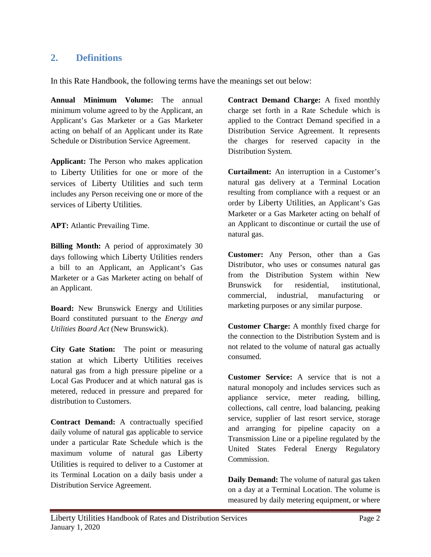# <span id="page-3-0"></span>**2. Definitions**

In this Rate Handbook, the following terms have the meanings set out below:

**Annual Minimum Volume:** The annual minimum volume agreed to by the Applicant, an Applicant's Gas Marketer or a Gas Marketer acting on behalf of an Applicant under its Rate Schedule or Distribution Service Agreement.

**Applicant:** The Person who makes application to Liberty Utilities for one or more of the services of Liberty Utilities and such term includes any Person receiving one or more of the services of Liberty Utilities.

**APT:** Atlantic Prevailing Time.

**Billing Month:** A period of approximately 30 days following which Liberty Utilities renders a bill to an Applicant, an Applicant's Gas Marketer or a Gas Marketer acting on behalf of an Applicant.

**Board:** New Brunswick Energy and Utilities Board constituted pursuant to the *Energy and Utilities Board Act* (New Brunswick).

**City Gate Station:** The point or measuring station at which Liberty Utilities receives natural gas from a high pressure pipeline or a Local Gas Producer and at which natural gas is metered, reduced in pressure and prepared for distribution to Customers.

**Contract Demand:** A contractually specified daily volume of natural gas applicable to service under a particular Rate Schedule which is the maximum volume of natural gas Liberty Utilities is required to deliver to a Customer at its Terminal Location on a daily basis under a Distribution Service Agreement.

**Contract Demand Charge:** A fixed monthly charge set forth in a Rate Schedule which is applied to the Contract Demand specified in a Distribution Service Agreement. It represents the charges for reserved capacity in the Distribution System.

**Curtailment:** An interruption in a Customer's natural gas delivery at a Terminal Location resulting from compliance with a request or an order by Liberty Utilities, an Applicant's Gas Marketer or a Gas Marketer acting on behalf of an Applicant to discontinue or curtail the use of natural gas.

**Customer:** Any Person, other than a Gas Distributor, who uses or consumes natural gas from the Distribution System within New Brunswick for residential, institutional, commercial, industrial, manufacturing or marketing purposes or any similar purpose.

**Customer Charge:** A monthly fixed charge for the connection to the Distribution System and is not related to the volume of natural gas actually consumed.

**Customer Service:** A service that is not a natural monopoly and includes services such as appliance service, meter reading, billing, collections, call centre, load balancing, peaking service, supplier of last resort service, storage and arranging for pipeline capacity on a Transmission Line or a pipeline regulated by the United States Federal Energy Regulatory Commission.

**Daily Demand:** The volume of natural gas taken on a day at a Terminal Location. The volume is measured by daily metering equipment, or where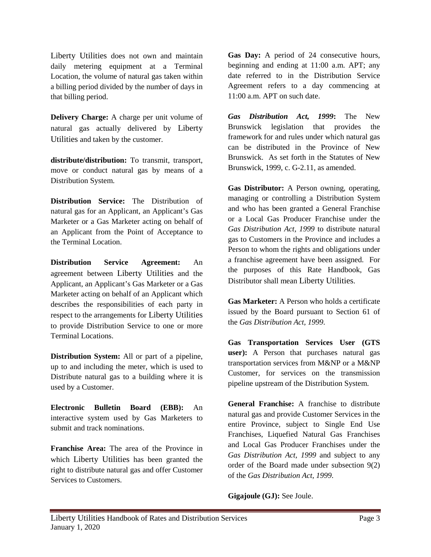Liberty Utilities does not own and maintain daily metering equipment at a Terminal Location, the volume of natural gas taken within a billing period divided by the number of days in that billing period.

**Delivery Charge:** A charge per unit volume of natural gas actually delivered by Liberty Utilities and taken by the customer.

**distribute/distribution:** To transmit, transport, move or conduct natural gas by means of a Distribution System.

**Distribution Service:** The Distribution of natural gas for an Applicant, an Applicant's Gas Marketer or a Gas Marketer acting on behalf of an Applicant from the Point of Acceptance to the Terminal Location.

**Distribution Service Agreement:** An agreement between Liberty Utilities and the Applicant, an Applicant's Gas Marketer or a Gas Marketer acting on behalf of an Applicant which describes the responsibilities of each party in respect to the arrangements for Liberty Utilities to provide Distribution Service to one or more Terminal Locations.

**Distribution System:** All or part of a pipeline, up to and including the meter, which is used to Distribute natural gas to a building where it is used by a Customer.

**Electronic Bulletin Board (EBB):** An interactive system used by Gas Marketers to submit and track nominations.

**Franchise Area:** The area of the Province in which Liberty Utilities has been granted the right to distribute natural gas and offer Customer Services to Customers.

**Gas Day:** A period of 24 consecutive hours, beginning and ending at 11:00 a.m. APT; any date referred to in the Distribution Service Agreement refers to a day commencing at 11:00 a.m. APT on such date.

*Gas Distribution Act, 1999***:** The New Brunswick legislation that provides the framework for and rules under which natural gas can be distributed in the Province of New Brunswick. As set forth in the Statutes of New Brunswick, 1999, c. G-2.11, as amended.

**Gas Distributor:** A Person owning, operating, managing or controlling a Distribution System and who has been granted a General Franchise or a Local Gas Producer Franchise under the *Gas Distribution Act, 1999* to distribute natural gas to Customers in the Province and includes a Person to whom the rights and obligations under a franchise agreement have been assigned. For the purposes of this Rate Handbook, Gas Distributor shall mean Liberty Utilities.

**Gas Marketer:** A Person who holds a certificate issued by the Board pursuant to Section 61 of the *Gas Distribution Act, 1999*.

**Gas Transportation Services User (GTS user):** A Person that purchases natural gas transportation services from M&NP or a M&NP Customer, for services on the transmission pipeline upstream of the Distribution System.

**General Franchise:** A franchise to distribute natural gas and provide Customer Services in the entire Province, subject to Single End Use Franchises, Liquefied Natural Gas Franchises and Local Gas Producer Franchises under the *Gas Distribution Act, 1999* and subject to any order of the Board made under subsection 9(2) of the *Gas Distribution Act, 1999*.

**Gigajoule (GJ):** See Joule.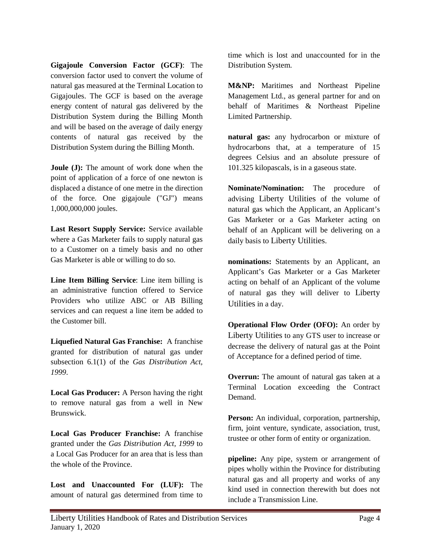**Gigajoule Conversion Factor (GCF)**: The conversion factor used to convert the volume of natural gas measured at the Terminal Location to Gigajoules. The GCF is based on the average energy content of natural gas delivered by the Distribution System during the Billing Month and will be based on the average of daily energy contents of natural gas received by the Distribution System during the Billing Month.

**Joule (J):** The amount of work done when the point of application of a force of one newton is displaced a distance of one metre in the direction of the force. One gigajoule ("GJ") means 1,000,000,000 joules.

**Last Resort Supply Service:** Service available where a Gas Marketer fails to supply natural gas to a Customer on a timely basis and no other Gas Marketer is able or willing to do so.

**Line Item Billing Service**: Line item billing is an administrative function offered to Service Providers who utilize ABC or AB Billing services and can request a line item be added to the Customer bill.

**Liquefied Natural Gas Franchise:** A franchise granted for distribution of natural gas under subsection 6.1(1) of the *Gas Distribution Act, 1999*.

**Local Gas Producer:** A Person having the right to remove natural gas from a well in New Brunswick.

**Local Gas Producer Franchise:** A franchise granted under the *Gas Distribution Act, 1999* to a Local Gas Producer for an area that is less than the whole of the Province.

**Lost and Unaccounted For (LUF):** The amount of natural gas determined from time to time which is lost and unaccounted for in the Distribution System.

**M&NP:** Maritimes and Northeast Pipeline Management Ltd., as general partner for and on behalf of Maritimes & Northeast Pipeline Limited Partnership.

**natural gas:** any hydrocarbon or mixture of hydrocarbons that, at a temperature of 15 degrees Celsius and an absolute pressure of 101.325 kilopascals, is in a gaseous state.

**Nominate/Nomination:** The procedure of advising Liberty Utilities of the volume of natural gas which the Applicant, an Applicant's Gas Marketer or a Gas Marketer acting on behalf of an Applicant will be delivering on a daily basis to Liberty Utilities.

**nominations:** Statements by an Applicant, an Applicant's Gas Marketer or a Gas Marketer acting on behalf of an Applicant of the volume of natural gas they will deliver to Liberty Utilities in a day.

**Operational Flow Order (OFO):** An order by Liberty Utilities to any GTS user to increase or decrease the delivery of natural gas at the Point of Acceptance for a defined period of time.

**Overrun:** The amount of natural gas taken at a Terminal Location exceeding the Contract Demand.

**Person:** An individual, corporation, partnership, firm, joint venture, syndicate, association, trust, trustee or other form of entity or organization.

**pipeline:** Any pipe, system or arrangement of pipes wholly within the Province for distributing natural gas and all property and works of any kind used in connection therewith but does not include a Transmission Line.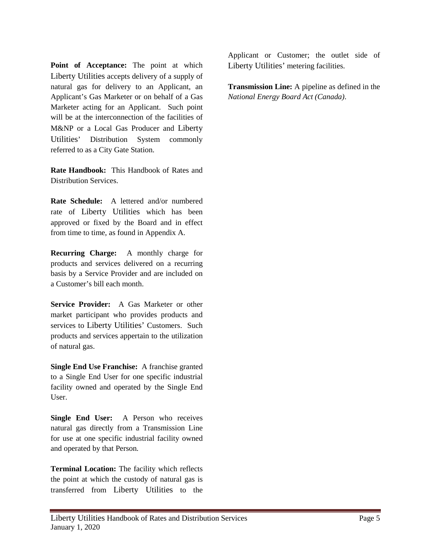**Point of Acceptance:** The point at which Liberty Utilities accepts delivery of a supply of natural gas for delivery to an Applicant, an Applicant's Gas Marketer or on behalf of a Gas Marketer acting for an Applicant. Such point will be at the interconnection of the facilities of M&NP or a Local Gas Producer and Liberty Utilities' Distribution System commonly referred to as a City Gate Station.

**Rate Handbook:** This Handbook of Rates and Distribution Services.

**Rate Schedule:** A lettered and/or numbered rate of Liberty Utilities which has been approved or fixed by the Board and in effect from time to time, as found in Appendix A.

**Recurring Charge:** A monthly charge for products and services delivered on a recurring basis by a Service Provider and are included on a Customer's bill each month.

**Service Provider:** A Gas Marketer or other market participant who provides products and services to Liberty Utilities' Customers. Such products and services appertain to the utilization of natural gas.

**Single End Use Franchise:** A franchise granted to a Single End User for one specific industrial facility owned and operated by the Single End User.

**Single End User:** A Person who receives natural gas directly from a Transmission Line for use at one specific industrial facility owned and operated by that Person.

**Terminal Location:** The facility which reflects the point at which the custody of natural gas is transferred from Liberty Utilities to the

Applicant or Customer; the outlet side of Liberty Utilities' metering facilities.

**Transmission Line:** A pipeline as defined in the *National Energy Board Act (Canada)*.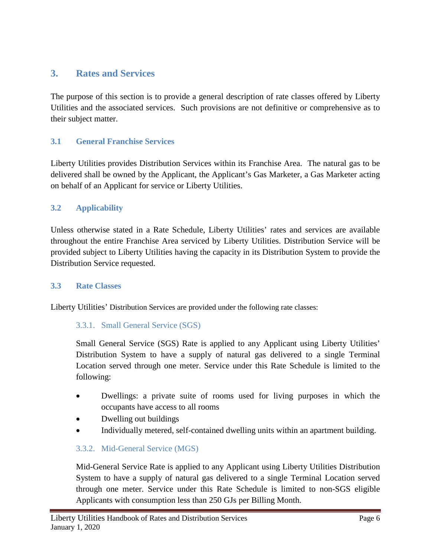# <span id="page-7-0"></span>**3. Rates and Services**

The purpose of this section is to provide a general description of rate classes offered by Liberty Utilities and the associated services. Such provisions are not definitive or comprehensive as to their subject matter.

# <span id="page-7-1"></span>**3.1 General Franchise Services**

Liberty Utilities provides Distribution Services within its Franchise Area. The natural gas to be delivered shall be owned by the Applicant, the Applicant's Gas Marketer, a Gas Marketer acting on behalf of an Applicant for service or Liberty Utilities.

# <span id="page-7-2"></span>**3.2 Applicability**

Unless otherwise stated in a Rate Schedule, Liberty Utilities' rates and services are available throughout the entire Franchise Area serviced by Liberty Utilities. Distribution Service will be provided subject to Liberty Utilities having the capacity in its Distribution System to provide the Distribution Service requested.

# <span id="page-7-3"></span>**3.3 Rate Classes**

Liberty Utilities' Distribution Services are provided under the following rate classes:

# 3.3.1. Small General Service (SGS)

Small General Service (SGS) Rate is applied to any Applicant using Liberty Utilities' Distribution System to have a supply of natural gas delivered to a single Terminal Location served through one meter. Service under this Rate Schedule is limited to the following:

- Dwellings: a private suite of rooms used for living purposes in which the occupants have access to all rooms
- Dwelling out buildings
- Individually metered, self-contained dwelling units within an apartment building.

# 3.3.2. Mid-General Service (MGS)

Mid-General Service Rate is applied to any Applicant using Liberty Utilities Distribution System to have a supply of natural gas delivered to a single Terminal Location served through one meter. Service under this Rate Schedule is limited to non-SGS eligible Applicants with consumption less than 250 GJs per Billing Month.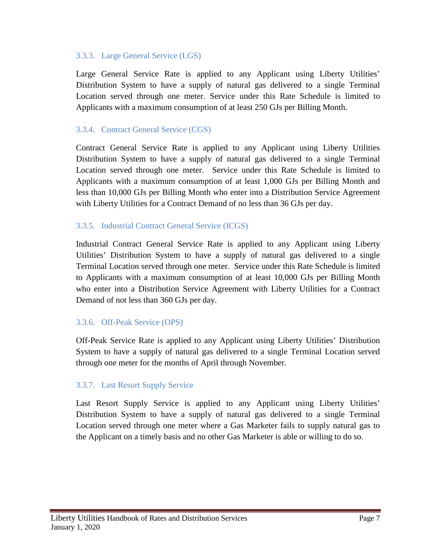#### 3.3.3. Large General Service (LGS)

Large General Service Rate is applied to any Applicant using Liberty Utilities' Distribution System to have a supply of natural gas delivered to a single Terminal Location served through one meter. Service under this Rate Schedule is limited to Applicants with a maximum consumption of at least 250 GJs per Billing Month.

# 3.3.4. Contract General Service (CGS)

Contract General Service Rate is applied to any Applicant using Liberty Utilities Distribution System to have a supply of natural gas delivered to a single Terminal Location served through one meter. Service under this Rate Schedule is limited to Applicants with a maximum consumption of at least 1,000 GJs per Billing Month and less than 10,000 GJs per Billing Month who enter into a Distribution Service Agreement with Liberty Utilities for a Contract Demand of no less than 36 GJs per day.

#### 3.3.5. Industrial Contract General Service (ICGS)

Industrial Contract General Service Rate is applied to any Applicant using Liberty Utilities' Distribution System to have a supply of natural gas delivered to a single Terminal Location served through one meter. Service under this Rate Schedule is limited to Applicants with a maximum consumption of at least 10,000 GJs per Billing Month who enter into a Distribution Service Agreement with Liberty Utilities for a Contract Demand of not less than 360 GJs per day.

#### 3.3.6. Off-Peak Service (OPS)

Off-Peak Service Rate is applied to any Applicant using Liberty Utilities' Distribution System to have a supply of natural gas delivered to a single Terminal Location served through one meter for the months of April through November.

# 3.3.7. Last Resort Supply Service

Last Resort Supply Service is applied to any Applicant using Liberty Utilities' Distribution System to have a supply of natural gas delivered to a single Terminal Location served through one meter where a Gas Marketer fails to supply natural gas to the Applicant on a timely basis and no other Gas Marketer is able or willing to do so.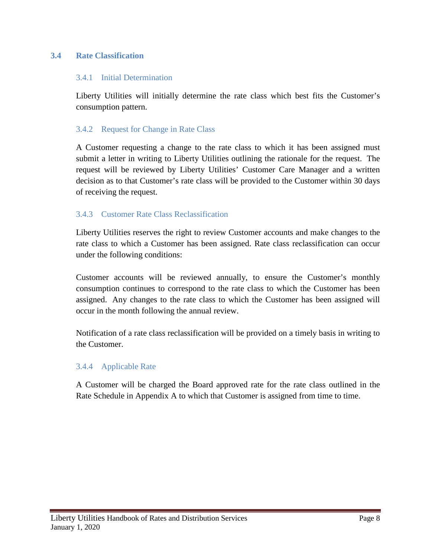# <span id="page-9-0"></span>**3.4 Rate Classification**

#### 3.4.1 Initial Determination

Liberty Utilities will initially determine the rate class which best fits the Customer's consumption pattern.

#### 3.4.2 Request for Change in Rate Class

A Customer requesting a change to the rate class to which it has been assigned must submit a letter in writing to Liberty Utilities outlining the rationale for the request. The request will be reviewed by Liberty Utilities' Customer Care Manager and a written decision as to that Customer's rate class will be provided to the Customer within 30 days of receiving the request.

# 3.4.3 Customer Rate Class Reclassification

Liberty Utilities reserves the right to review Customer accounts and make changes to the rate class to which a Customer has been assigned. Rate class reclassification can occur under the following conditions:

Customer accounts will be reviewed annually, to ensure the Customer's monthly consumption continues to correspond to the rate class to which the Customer has been assigned. Any changes to the rate class to which the Customer has been assigned will occur in the month following the annual review.

Notification of a rate class reclassification will be provided on a timely basis in writing to the Customer.

# 3.4.4 Applicable Rate

A Customer will be charged the Board approved rate for the rate class outlined in the Rate Schedule in Appendix A to which that Customer is assigned from time to time.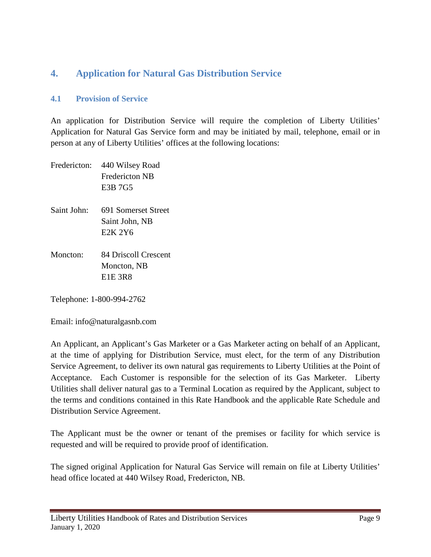# <span id="page-10-0"></span>**4. Application for Natural Gas Distribution Service**

# <span id="page-10-1"></span>**4.1 Provision of Service**

An application for Distribution Service will require the completion of Liberty Utilities' Application for Natural Gas Service form and may be initiated by mail, telephone, email or in person at any of Liberty Utilities' offices at the following locations:

| Fredericton: | 440 Wilsey Road<br>Fredericton NB<br>E3B 7G5     |
|--------------|--------------------------------------------------|
| Saint John:  | 691 Somerset Street<br>Saint John, NB<br>E2K 2Y6 |
| Moncton:     | 84 Driscoll Crescent<br>Moncton, NB<br>E1E 3R8   |

Telephone: 1-800-994-2762

Email: info@naturalgasnb.com

An Applicant, an Applicant's Gas Marketer or a Gas Marketer acting on behalf of an Applicant, at the time of applying for Distribution Service, must elect, for the term of any Distribution Service Agreement, to deliver its own natural gas requirements to Liberty Utilities at the Point of Acceptance. Each Customer is responsible for the selection of its Gas Marketer. Liberty Utilities shall deliver natural gas to a Terminal Location as required by the Applicant, subject to the terms and conditions contained in this Rate Handbook and the applicable Rate Schedule and Distribution Service Agreement.

The Applicant must be the owner or tenant of the premises or facility for which service is requested and will be required to provide proof of identification.

The signed original Application for Natural Gas Service will remain on file at Liberty Utilities' head office located at 440 Wilsey Road, Fredericton, NB.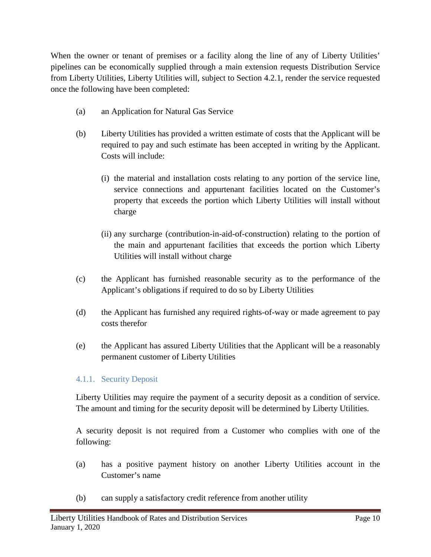When the owner or tenant of premises or a facility along the line of any of Liberty Utilities' pipelines can be economically supplied through a main extension requests Distribution Service from Liberty Utilities, Liberty Utilities will, subject to Section 4.2.1, render the service requested once the following have been completed:

- (a) an Application for Natural Gas Service
- (b) Liberty Utilities has provided a written estimate of costs that the Applicant will be required to pay and such estimate has been accepted in writing by the Applicant. Costs will include:
	- (i) the material and installation costs relating to any portion of the service line, service connections and appurtenant facilities located on the Customer's property that exceeds the portion which Liberty Utilities will install without charge
	- (ii) any surcharge (contribution-in-aid-of-construction) relating to the portion of the main and appurtenant facilities that exceeds the portion which Liberty Utilities will install without charge
- (c) the Applicant has furnished reasonable security as to the performance of the Applicant's obligations if required to do so by Liberty Utilities
- (d) the Applicant has furnished any required rights-of-way or made agreement to pay costs therefor
- (e) the Applicant has assured Liberty Utilities that the Applicant will be a reasonably permanent customer of Liberty Utilities

# 4.1.1. Security Deposit

Liberty Utilities may require the payment of a security deposit as a condition of service. The amount and timing for the security deposit will be determined by Liberty Utilities.

A security deposit is not required from a Customer who complies with one of the following:

- (a) has a positive payment history on another Liberty Utilities account in the Customer's name
- (b) can supply a satisfactory credit reference from another utility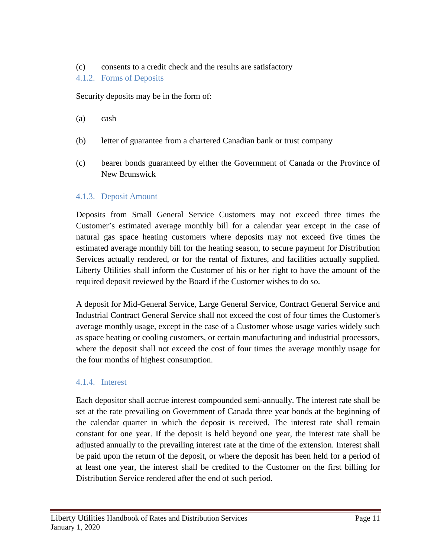# (c) consents to a credit check and the results are satisfactory

# 4.1.2. Forms of Deposits

Security deposits may be in the form of:

- (a) cash
- (b) letter of guarantee from a chartered Canadian bank or trust company
- (c) bearer bonds guaranteed by either the Government of Canada or the Province of New Brunswick

# 4.1.3. Deposit Amount

Deposits from Small General Service Customers may not exceed three times the Customer's estimated average monthly bill for a calendar year except in the case of natural gas space heating customers where deposits may not exceed five times the estimated average monthly bill for the heating season, to secure payment for Distribution Services actually rendered, or for the rental of fixtures, and facilities actually supplied. Liberty Utilities shall inform the Customer of his or her right to have the amount of the required deposit reviewed by the Board if the Customer wishes to do so.

A deposit for Mid-General Service, Large General Service, Contract General Service and Industrial Contract General Service shall not exceed the cost of four times the Customer's average monthly usage, except in the case of a Customer whose usage varies widely such as space heating or cooling customers, or certain manufacturing and industrial processors, where the deposit shall not exceed the cost of four times the average monthly usage for the four months of highest consumption.

# 4.1.4. Interest

Each depositor shall accrue interest compounded semi-annually. The interest rate shall be set at the rate prevailing on Government of Canada three year bonds at the beginning of the calendar quarter in which the deposit is received. The interest rate shall remain constant for one year. If the deposit is held beyond one year, the interest rate shall be adjusted annually to the prevailing interest rate at the time of the extension. Interest shall be paid upon the return of the deposit, or where the deposit has been held for a period of at least one year, the interest shall be credited to the Customer on the first billing for Distribution Service rendered after the end of such period.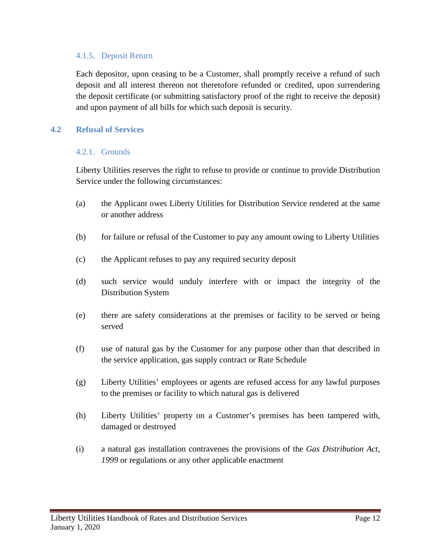#### 4.1.5. Deposit Return

Each depositor, upon ceasing to be a Customer, shall promptly receive a refund of such deposit and all interest thereon not theretofore refunded or credited, upon surrendering the deposit certificate (or submitting satisfactory proof of the right to receive the deposit) and upon payment of all bills for which such deposit is security.

#### <span id="page-13-0"></span>**4.2 Refusal of Services**

#### 4.2.1. Grounds

Liberty Utilities reserves the right to refuse to provide or continue to provide Distribution Service under the following circumstances:

- (a) the Applicant owes Liberty Utilities for Distribution Service rendered at the same or another address
- (b) for failure or refusal of the Customer to pay any amount owing to Liberty Utilities
- (c) the Applicant refuses to pay any required security deposit
- (d) such service would unduly interfere with or impact the integrity of the Distribution System
- (e) there are safety considerations at the premises or facility to be served or being served
- (f) use of natural gas by the Customer for any purpose other than that described in the service application, gas supply contract or Rate Schedule
- (g) Liberty Utilities' employees or agents are refused access for any lawful purposes to the premises or facility to which natural gas is delivered
- (h) Liberty Utilities' property on a Customer's premises has been tampered with, damaged or destroyed
- (i) a natural gas installation contravenes the provisions of the *Gas Distribution Act, 1999* or regulations or any other applicable enactment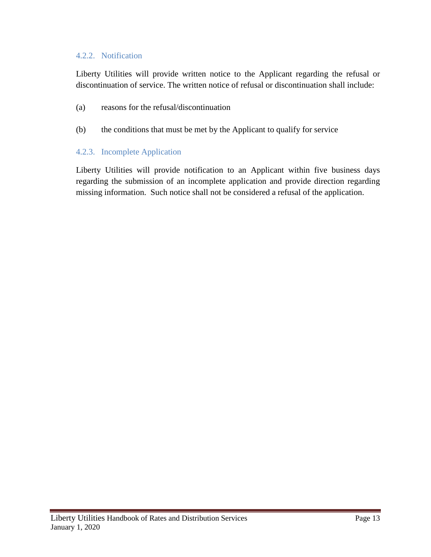## 4.2.2. Notification

Liberty Utilities will provide written notice to the Applicant regarding the refusal or discontinuation of service. The written notice of refusal or discontinuation shall include:

- (a) reasons for the refusal/discontinuation
- (b) the conditions that must be met by the Applicant to qualify for service

#### 4.2.3. Incomplete Application

Liberty Utilities will provide notification to an Applicant within five business days regarding the submission of an incomplete application and provide direction regarding missing information. Such notice shall not be considered a refusal of the application.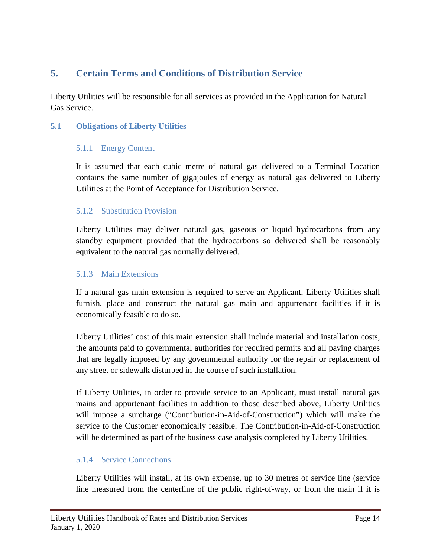# <span id="page-15-0"></span>**5. Certain Terms and Conditions of Distribution Service**

Liberty Utilities will be responsible for all services as provided in the Application for Natural Gas Service.

# <span id="page-15-1"></span>**5.1 Obligations of Liberty Utilities**

# 5.1.1 Energy Content

It is assumed that each cubic metre of natural gas delivered to a Terminal Location contains the same number of gigajoules of energy as natural gas delivered to Liberty Utilities at the Point of Acceptance for Distribution Service.

# 5.1.2 Substitution Provision

Liberty Utilities may deliver natural gas, gaseous or liquid hydrocarbons from any standby equipment provided that the hydrocarbons so delivered shall be reasonably equivalent to the natural gas normally delivered.

# 5.1.3 Main Extensions

If a natural gas main extension is required to serve an Applicant, Liberty Utilities shall furnish, place and construct the natural gas main and appurtenant facilities if it is economically feasible to do so.

Liberty Utilities' cost of this main extension shall include material and installation costs, the amounts paid to governmental authorities for required permits and all paving charges that are legally imposed by any governmental authority for the repair or replacement of any street or sidewalk disturbed in the course of such installation.

If Liberty Utilities, in order to provide service to an Applicant, must install natural gas mains and appurtenant facilities in addition to those described above, Liberty Utilities will impose a surcharge ("Contribution-in-Aid-of-Construction") which will make the service to the Customer economically feasible. The Contribution-in-Aid-of-Construction will be determined as part of the business case analysis completed by Liberty Utilities.

# 5.1.4 Service Connections

Liberty Utilities will install, at its own expense, up to 30 metres of service line (service line measured from the centerline of the public right-of-way, or from the main if it is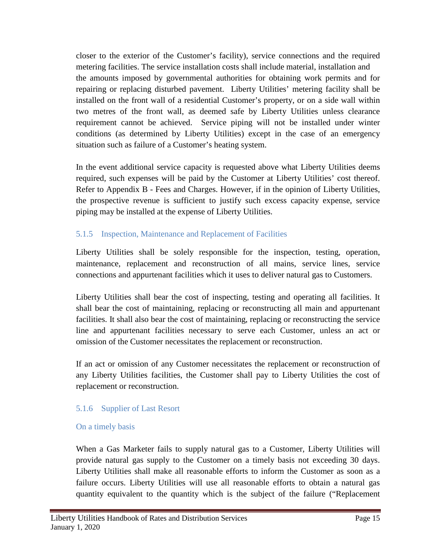closer to the exterior of the Customer's facility), service connections and the required metering facilities. The service installation costs shall include material, installation and the amounts imposed by governmental authorities for obtaining work permits and for repairing or replacing disturbed pavement. Liberty Utilities' metering facility shall be installed on the front wall of a residential Customer's property, or on a side wall within two metres of the front wall, as deemed safe by Liberty Utilities unless clearance requirement cannot be achieved. Service piping will not be installed under winter conditions (as determined by Liberty Utilities) except in the case of an emergency situation such as failure of a Customer's heating system.

In the event additional service capacity is requested above what Liberty Utilities deems required, such expenses will be paid by the Customer at Liberty Utilities' cost thereof. Refer to Appendix B - Fees and Charges. However, if in the opinion of Liberty Utilities, the prospective revenue is sufficient to justify such excess capacity expense, service piping may be installed at the expense of Liberty Utilities.

# 5.1.5 Inspection, Maintenance and Replacement of Facilities

Liberty Utilities shall be solely responsible for the inspection, testing, operation, maintenance, replacement and reconstruction of all mains, service lines, service connections and appurtenant facilities which it uses to deliver natural gas to Customers.

Liberty Utilities shall bear the cost of inspecting, testing and operating all facilities. It shall bear the cost of maintaining, replacing or reconstructing all main and appurtenant facilities. It shall also bear the cost of maintaining, replacing or reconstructing the service line and appurtenant facilities necessary to serve each Customer, unless an act or omission of the Customer necessitates the replacement or reconstruction.

If an act or omission of any Customer necessitates the replacement or reconstruction of any Liberty Utilities facilities, the Customer shall pay to Liberty Utilities the cost of replacement or reconstruction.

# 5.1.6 Supplier of Last Resort

# On a timely basis

When a Gas Marketer fails to supply natural gas to a Customer, Liberty Utilities will provide natural gas supply to the Customer on a timely basis not exceeding 30 days. Liberty Utilities shall make all reasonable efforts to inform the Customer as soon as a failure occurs. Liberty Utilities will use all reasonable efforts to obtain a natural gas quantity equivalent to the quantity which is the subject of the failure ("Replacement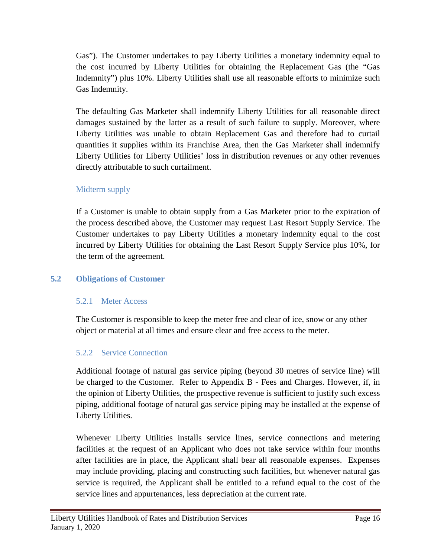Gas"). The Customer undertakes to pay Liberty Utilities a monetary indemnity equal to the cost incurred by Liberty Utilities for obtaining the Replacement Gas (the "Gas Indemnity") plus 10%. Liberty Utilities shall use all reasonable efforts to minimize such Gas Indemnity.

The defaulting Gas Marketer shall indemnify Liberty Utilities for all reasonable direct damages sustained by the latter as a result of such failure to supply. Moreover, where Liberty Utilities was unable to obtain Replacement Gas and therefore had to curtail quantities it supplies within its Franchise Area, then the Gas Marketer shall indemnify Liberty Utilities for Liberty Utilities' loss in distribution revenues or any other revenues directly attributable to such curtailment.

# Midterm supply

If a Customer is unable to obtain supply from a Gas Marketer prior to the expiration of the process described above, the Customer may request Last Resort Supply Service. The Customer undertakes to pay Liberty Utilities a monetary indemnity equal to the cost incurred by Liberty Utilities for obtaining the Last Resort Supply Service plus 10%, for the term of the agreement.

# <span id="page-17-0"></span>**5.2 Obligations of Customer**

# 5.2.1 Meter Access

The Customer is responsible to keep the meter free and clear of ice, snow or any other object or material at all times and ensure clear and free access to the meter.

# 5.2.2 Service Connection

Additional footage of natural gas service piping (beyond 30 metres of service line) will be charged to the Customer. Refer to Appendix B - Fees and Charges. However, if, in the opinion of Liberty Utilities, the prospective revenue is sufficient to justify such excess piping, additional footage of natural gas service piping may be installed at the expense of Liberty Utilities.

Whenever Liberty Utilities installs service lines, service connections and metering facilities at the request of an Applicant who does not take service within four months after facilities are in place, the Applicant shall bear all reasonable expenses. Expenses may include providing, placing and constructing such facilities, but whenever natural gas service is required, the Applicant shall be entitled to a refund equal to the cost of the service lines and appurtenances, less depreciation at the current rate.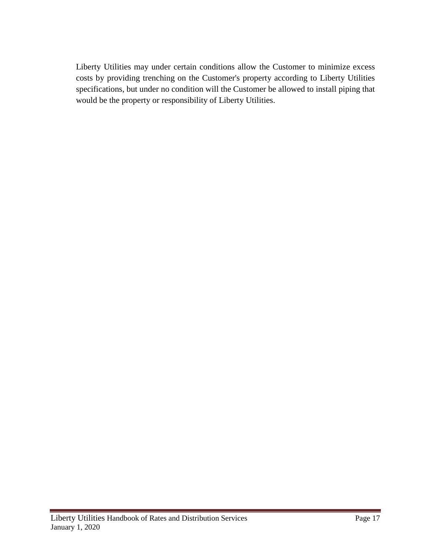Liberty Utilities may under certain conditions allow the Customer to minimize excess costs by providing trenching on the Customer's property according to Liberty Utilities specifications, but under no condition will the Customer be allowed to install piping that would be the property or responsibility of Liberty Utilities.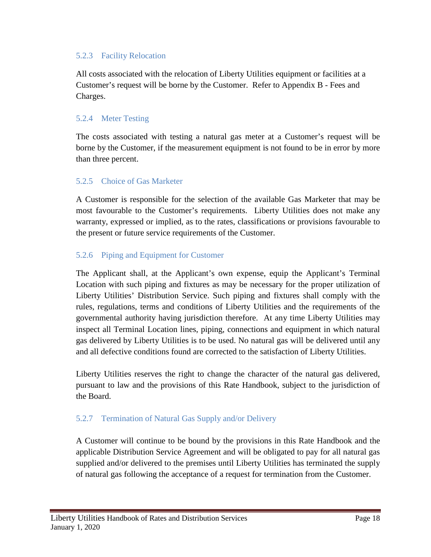# 5.2.3 Facility Relocation

All costs associated with the relocation of Liberty Utilities equipment or facilities at a Customer's request will be borne by the Customer. Refer to Appendix B - Fees and Charges.

# 5.2.4 Meter Testing

The costs associated with testing a natural gas meter at a Customer's request will be borne by the Customer, if the measurement equipment is not found to be in error by more than three percent.

# 5.2.5 Choice of Gas Marketer

A Customer is responsible for the selection of the available Gas Marketer that may be most favourable to the Customer's requirements. Liberty Utilities does not make any warranty, expressed or implied, as to the rates, classifications or provisions favourable to the present or future service requirements of the Customer.

# 5.2.6 Piping and Equipment for Customer

The Applicant shall, at the Applicant's own expense, equip the Applicant's Terminal Location with such piping and fixtures as may be necessary for the proper utilization of Liberty Utilities' Distribution Service. Such piping and fixtures shall comply with the rules, regulations, terms and conditions of Liberty Utilities and the requirements of the governmental authority having jurisdiction therefore. At any time Liberty Utilities may inspect all Terminal Location lines, piping, connections and equipment in which natural gas delivered by Liberty Utilities is to be used. No natural gas will be delivered until any and all defective conditions found are corrected to the satisfaction of Liberty Utilities.

Liberty Utilities reserves the right to change the character of the natural gas delivered, pursuant to law and the provisions of this Rate Handbook, subject to the jurisdiction of the Board.

# 5.2.7 Termination of Natural Gas Supply and/or Delivery

A Customer will continue to be bound by the provisions in this Rate Handbook and the applicable Distribution Service Agreement and will be obligated to pay for all natural gas supplied and/or delivered to the premises until Liberty Utilities has terminated the supply of natural gas following the acceptance of a request for termination from the Customer.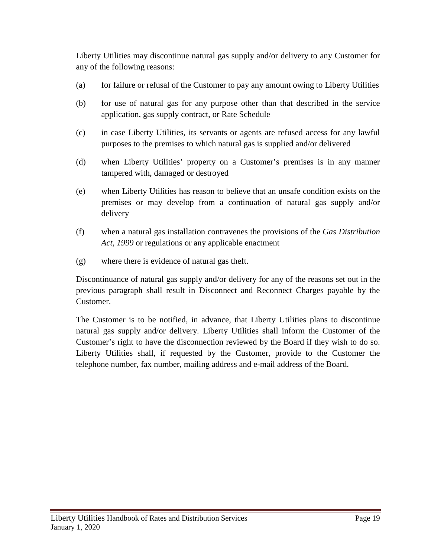Liberty Utilities may discontinue natural gas supply and/or delivery to any Customer for any of the following reasons:

- (a) for failure or refusal of the Customer to pay any amount owing to Liberty Utilities
- (b) for use of natural gas for any purpose other than that described in the service application, gas supply contract, or Rate Schedule
- (c) in case Liberty Utilities, its servants or agents are refused access for any lawful purposes to the premises to which natural gas is supplied and/or delivered
- (d) when Liberty Utilities' property on a Customer's premises is in any manner tampered with, damaged or destroyed
- (e) when Liberty Utilities has reason to believe that an unsafe condition exists on the premises or may develop from a continuation of natural gas supply and/or delivery
- (f) when a natural gas installation contravenes the provisions of the *Gas Distribution Act, 1999* or regulations or any applicable enactment
- (g) where there is evidence of natural gas theft.

Discontinuance of natural gas supply and/or delivery for any of the reasons set out in the previous paragraph shall result in Disconnect and Reconnect Charges payable by the Customer.

The Customer is to be notified, in advance, that Liberty Utilities plans to discontinue natural gas supply and/or delivery. Liberty Utilities shall inform the Customer of the Customer's right to have the disconnection reviewed by the Board if they wish to do so. Liberty Utilities shall, if requested by the Customer, provide to the Customer the telephone number, fax number, mailing address and e-mail address of the Board.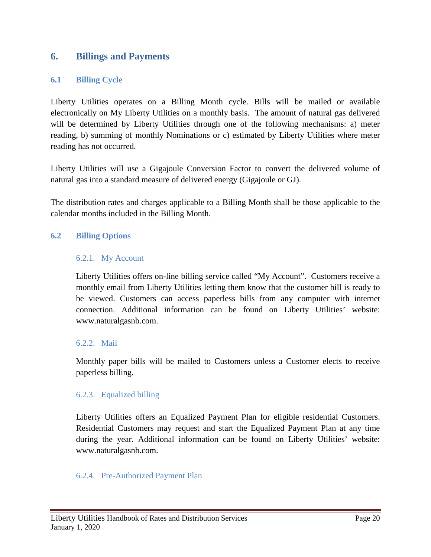# <span id="page-21-0"></span>**6. Billings and Payments**

# <span id="page-21-1"></span>**6.1 Billing Cycle**

Liberty Utilities operates on a Billing Month cycle. Bills will be mailed or available electronically on My Liberty Utilities on a monthly basis. The amount of natural gas delivered will be determined by Liberty Utilities through one of the following mechanisms: a) meter reading, b) summing of monthly Nominations or c) estimated by Liberty Utilities where meter reading has not occurred.

Liberty Utilities will use a Gigajoule Conversion Factor to convert the delivered volume of natural gas into a standard measure of delivered energy (Gigajoule or GJ).

The distribution rates and charges applicable to a Billing Month shall be those applicable to the calendar months included in the Billing Month.

# <span id="page-21-2"></span>**6.2 Billing Options**

#### 6.2.1. My Account

Liberty Utilities offers on-line billing service called "My Account". Customers receive a monthly email from Liberty Utilities letting them know that the customer bill is ready to be viewed. Customers can access paperless bills from any computer with internet connection. Additional information can be found on Liberty Utilities' website: www.naturalgasnb.com.

#### 6.2.2. Mail

Monthly paper bills will be mailed to Customers unless a Customer elects to receive paperless billing.

# 6.2.3. Equalized billing

Liberty Utilities offers an Equalized Payment Plan for eligible residential Customers. Residential Customers may request and start the Equalized Payment Plan at any time during the year. Additional information can be found on Liberty Utilities' website: www.naturalgasnb.com.

# 6.2.4. Pre-Authorized Payment Plan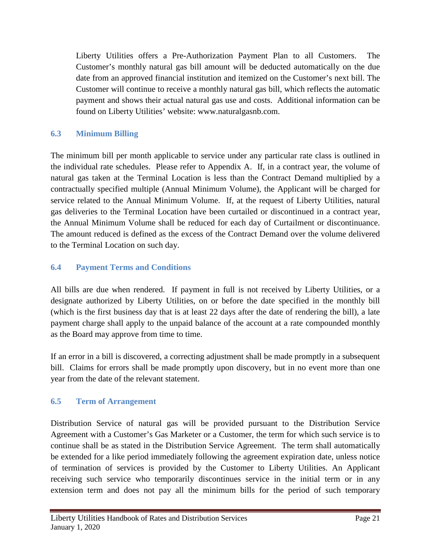Liberty Utilities offers a Pre-Authorization Payment Plan to all Customers. The Customer's monthly natural gas bill amount will be deducted automatically on the due date from an approved financial institution and itemized on the Customer's next bill. The Customer will continue to receive a monthly natural gas bill, which reflects the automatic payment and shows their actual natural gas use and costs. Additional information can be found on Liberty Utilities' website: www.naturalgasnb.com.

# <span id="page-22-0"></span>**6.3 Minimum Billing**

The minimum bill per month applicable to service under any particular rate class is outlined in the individual rate schedules. Please refer to Appendix A. If, in a contract year, the volume of natural gas taken at the Terminal Location is less than the Contract Demand multiplied by a contractually specified multiple (Annual Minimum Volume), the Applicant will be charged for service related to the Annual Minimum Volume. If, at the request of Liberty Utilities, natural gas deliveries to the Terminal Location have been curtailed or discontinued in a contract year, the Annual Minimum Volume shall be reduced for each day of Curtailment or discontinuance. The amount reduced is defined as the excess of the Contract Demand over the volume delivered to the Terminal Location on such day.

# <span id="page-22-1"></span>**6.4 Payment Terms and Conditions**

All bills are due when rendered. If payment in full is not received by Liberty Utilities, or a designate authorized by Liberty Utilities, on or before the date specified in the monthly bill (which is the first business day that is at least 22 days after the date of rendering the bill), a late payment charge shall apply to the unpaid balance of the account at a rate compounded monthly as the Board may approve from time to time.

If an error in a bill is discovered, a correcting adjustment shall be made promptly in a subsequent bill. Claims for errors shall be made promptly upon discovery, but in no event more than one year from the date of the relevant statement.

# <span id="page-22-2"></span>**6.5 Term of Arrangement**

Distribution Service of natural gas will be provided pursuant to the Distribution Service Agreement with a Customer's Gas Marketer or a Customer, the term for which such service is to continue shall be as stated in the Distribution Service Agreement. The term shall automatically be extended for a like period immediately following the agreement expiration date, unless notice of termination of services is provided by the Customer to Liberty Utilities. An Applicant receiving such service who temporarily discontinues service in the initial term or in any extension term and does not pay all the minimum bills for the period of such temporary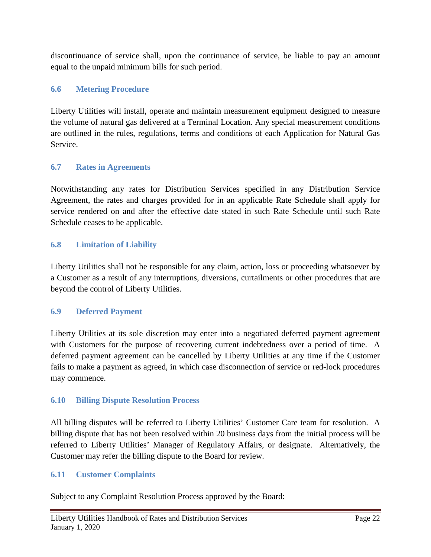discontinuance of service shall, upon the continuance of service, be liable to pay an amount equal to the unpaid minimum bills for such period.

# <span id="page-23-0"></span>**6.6 Metering Procedure**

Liberty Utilities will install, operate and maintain measurement equipment designed to measure the volume of natural gas delivered at a Terminal Location. Any special measurement conditions are outlined in the rules, regulations, terms and conditions of each Application for Natural Gas Service.

# <span id="page-23-1"></span>**6.7 Rates in Agreements**

Notwithstanding any rates for Distribution Services specified in any Distribution Service Agreement, the rates and charges provided for in an applicable Rate Schedule shall apply for service rendered on and after the effective date stated in such Rate Schedule until such Rate Schedule ceases to be applicable.

# <span id="page-23-2"></span>**6.8 Limitation of Liability**

Liberty Utilities shall not be responsible for any claim, action, loss or proceeding whatsoever by a Customer as a result of any interruptions, diversions, curtailments or other procedures that are beyond the control of Liberty Utilities.

# <span id="page-23-3"></span>**6.9 Deferred Payment**

Liberty Utilities at its sole discretion may enter into a negotiated deferred payment agreement with Customers for the purpose of recovering current indebtedness over a period of time. A deferred payment agreement can be cancelled by Liberty Utilities at any time if the Customer fails to make a payment as agreed, in which case disconnection of service or red-lock procedures may commence.

# <span id="page-23-4"></span>**6.10 Billing Dispute Resolution Process**

All billing disputes will be referred to Liberty Utilities' Customer Care team for resolution. A billing dispute that has not been resolved within 20 business days from the initial process will be referred to Liberty Utilities' Manager of Regulatory Affairs, or designate. Alternatively, the Customer may refer the billing dispute to the Board for review.

# <span id="page-23-5"></span>**6.11 Customer Complaints**

Subject to any Complaint Resolution Process approved by the Board: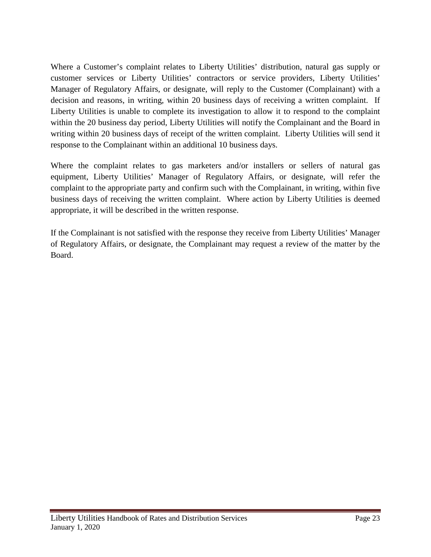Where a Customer's complaint relates to Liberty Utilities' distribution, natural gas supply or customer services or Liberty Utilities' contractors or service providers, Liberty Utilities' Manager of Regulatory Affairs, or designate, will reply to the Customer (Complainant) with a decision and reasons, in writing, within 20 business days of receiving a written complaint. If Liberty Utilities is unable to complete its investigation to allow it to respond to the complaint within the 20 business day period, Liberty Utilities will notify the Complainant and the Board in writing within 20 business days of receipt of the written complaint. Liberty Utilities will send it response to the Complainant within an additional 10 business days.

Where the complaint relates to gas marketers and/or installers or sellers of natural gas equipment, Liberty Utilities' Manager of Regulatory Affairs, or designate, will refer the complaint to the appropriate party and confirm such with the Complainant, in writing, within five business days of receiving the written complaint. Where action by Liberty Utilities is deemed appropriate, it will be described in the written response.

If the Complainant is not satisfied with the response they receive from Liberty Utilities' Manager of Regulatory Affairs, or designate, the Complainant may request a review of the matter by the Board.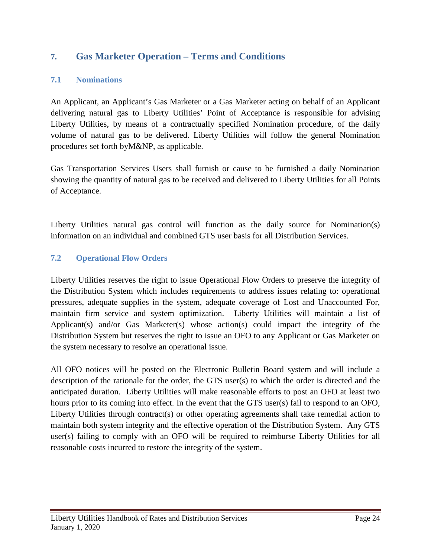# <span id="page-25-0"></span>**7. Gas Marketer Operation – Terms and Conditions**

# <span id="page-25-1"></span>**7.1 Nominations**

An Applicant, an Applicant's Gas Marketer or a Gas Marketer acting on behalf of an Applicant delivering natural gas to Liberty Utilities' Point of Acceptance is responsible for advising Liberty Utilities, by means of a contractually specified Nomination procedure, of the daily volume of natural gas to be delivered. Liberty Utilities will follow the general Nomination procedures set forth byM&NP, as applicable.

Gas Transportation Services Users shall furnish or cause to be furnished a daily Nomination showing the quantity of natural gas to be received and delivered to Liberty Utilities for all Points of Acceptance.

Liberty Utilities natural gas control will function as the daily source for Nomination(s) information on an individual and combined GTS user basis for all Distribution Services.

# <span id="page-25-2"></span>**7.2 Operational Flow Orders**

Liberty Utilities reserves the right to issue Operational Flow Orders to preserve the integrity of the Distribution System which includes requirements to address issues relating to: operational pressures, adequate supplies in the system, adequate coverage of Lost and Unaccounted For, maintain firm service and system optimization. Liberty Utilities will maintain a list of Applicant(s) and/or Gas Marketer(s) whose action(s) could impact the integrity of the Distribution System but reserves the right to issue an OFO to any Applicant or Gas Marketer on the system necessary to resolve an operational issue.

<span id="page-25-3"></span>All OFO notices will be posted on the Electronic Bulletin Board system and will include a description of the rationale for the order, the GTS user(s) to which the order is directed and the anticipated duration. Liberty Utilities will make reasonable efforts to post an OFO at least two hours prior to its coming into effect. In the event that the GTS user(s) fail to respond to an OFO, Liberty Utilities through contract(s) or other operating agreements shall take remedial action to maintain both system integrity and the effective operation of the Distribution System. Any GTS user(s) failing to comply with an OFO will be required to reimburse Liberty Utilities for all reasonable costs incurred to restore the integrity of the system.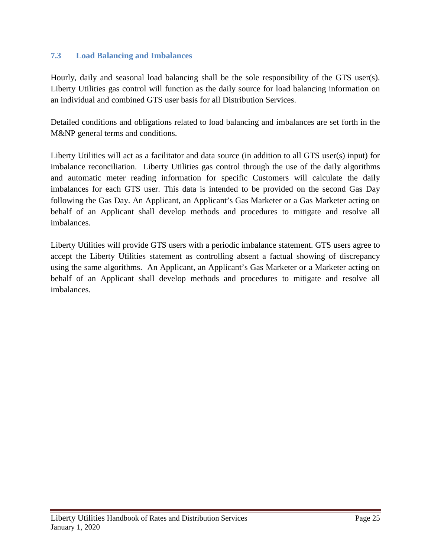# **7.3 Load Balancing and Imbalances**

Hourly, daily and seasonal load balancing shall be the sole responsibility of the GTS user(s). Liberty Utilities gas control will function as the daily source for load balancing information on an individual and combined GTS user basis for all Distribution Services.

Detailed conditions and obligations related to load balancing and imbalances are set forth in the M&NP general terms and conditions.

Liberty Utilities will act as a facilitator and data source (in addition to all GTS user(s) input) for imbalance reconciliation. Liberty Utilities gas control through the use of the daily algorithms and automatic meter reading information for specific Customers will calculate the daily imbalances for each GTS user. This data is intended to be provided on the second Gas Day following the Gas Day. An Applicant, an Applicant's Gas Marketer or a Gas Marketer acting on behalf of an Applicant shall develop methods and procedures to mitigate and resolve all imbalances.

Liberty Utilities will provide GTS users with a periodic imbalance statement. GTS users agree to accept the Liberty Utilities statement as controlling absent a factual showing of discrepancy using the same algorithms. An Applicant, an Applicant's Gas Marketer or a Marketer acting on behalf of an Applicant shall develop methods and procedures to mitigate and resolve all imbalances.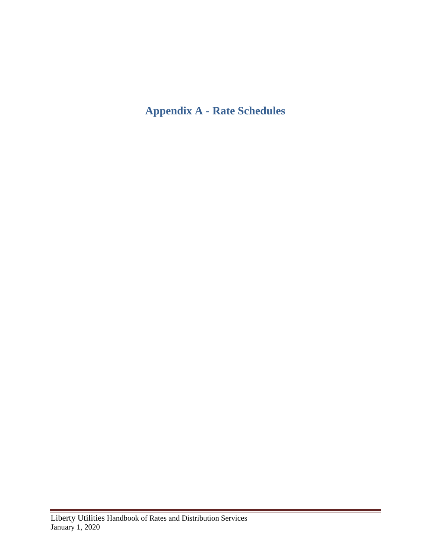# <span id="page-27-0"></span>**Appendix A - Rate Schedules**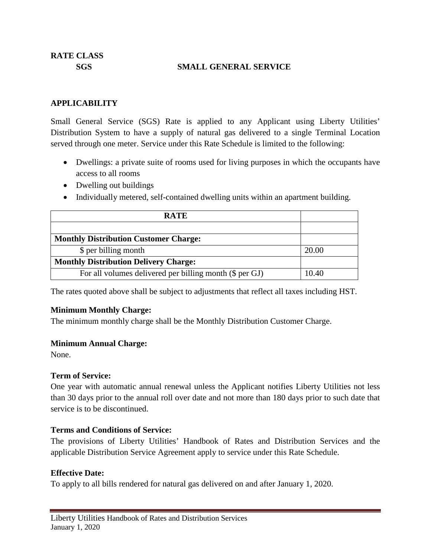#### **SGS SMALL GENERAL SERVICE**

#### **APPLICABILITY**

Small General Service (SGS) Rate is applied to any Applicant using Liberty Utilities' Distribution System to have a supply of natural gas delivered to a single Terminal Location served through one meter. Service under this Rate Schedule is limited to the following:

- Dwellings: a private suite of rooms used for living purposes in which the occupants have access to all rooms
- Dwelling out buildings
- Individually metered, self-contained dwelling units within an apartment building.

| <b>RATE</b>                                             |       |
|---------------------------------------------------------|-------|
|                                                         |       |
| <b>Monthly Distribution Customer Charge:</b>            |       |
| \$ per billing month                                    | 20.00 |
| <b>Monthly Distribution Delivery Charge:</b>            |       |
| For all volumes delivered per billing month (\$ per GJ) | 10.40 |

The rates quoted above shall be subject to adjustments that reflect all taxes including HST.

# **Minimum Monthly Charge:**

The minimum monthly charge shall be the Monthly Distribution Customer Charge.

# **Minimum Annual Charge:**

None.

# **Term of Service:**

One year with automatic annual renewal unless the Applicant notifies Liberty Utilities not less than 30 days prior to the annual roll over date and not more than 180 days prior to such date that service is to be discontinued.

# **Terms and Conditions of Service:**

The provisions of Liberty Utilities' Handbook of Rates and Distribution Services and the applicable Distribution Service Agreement apply to service under this Rate Schedule.

# **Effective Date:**

To apply to all bills rendered for natural gas delivered on and after January 1, 2020.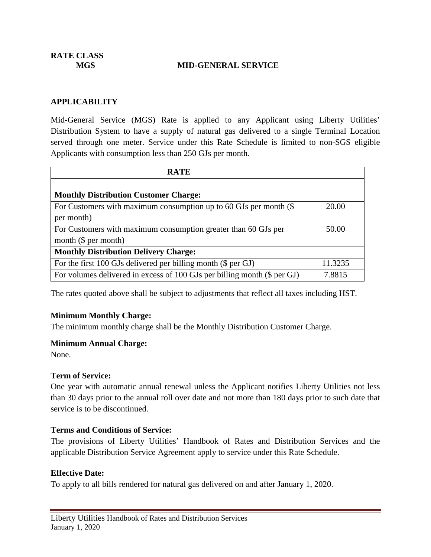**RATE CLASS**

#### **MGS MID-GENERAL SERVICE**

#### **APPLICABILITY**

Mid-General Service (MGS) Rate is applied to any Applicant using Liberty Utilities' Distribution System to have a supply of natural gas delivered to a single Terminal Location served through one meter. Service under this Rate Schedule is limited to non-SGS eligible Applicants with consumption less than 250 GJs per month.

| <b>RATE</b>                                                              |         |
|--------------------------------------------------------------------------|---------|
|                                                                          |         |
| <b>Monthly Distribution Customer Charge:</b>                             |         |
| For Customers with maximum consumption up to 60 GJs per month $(\$$      | 20.00   |
| per month)                                                               |         |
| For Customers with maximum consumption greater than 60 GJs per           | 50.00   |
| month $(\$$ per month)                                                   |         |
| <b>Monthly Distribution Delivery Charge:</b>                             |         |
| For the first 100 GJs delivered per billing month (\$ per GJ)            | 11.3235 |
| For volumes delivered in excess of 100 GJs per billing month (\$ per GJ) | 7.8815  |

The rates quoted above shall be subject to adjustments that reflect all taxes including HST.

#### **Minimum Monthly Charge:**

The minimum monthly charge shall be the Monthly Distribution Customer Charge.

#### **Minimum Annual Charge:**

None.

#### **Term of Service:**

One year with automatic annual renewal unless the Applicant notifies Liberty Utilities not less than 30 days prior to the annual roll over date and not more than 180 days prior to such date that service is to be discontinued.

#### **Terms and Conditions of Service:**

The provisions of Liberty Utilities' Handbook of Rates and Distribution Services and the applicable Distribution Service Agreement apply to service under this Rate Schedule.

#### **Effective Date:**

To apply to all bills rendered for natural gas delivered on and after January 1, 2020.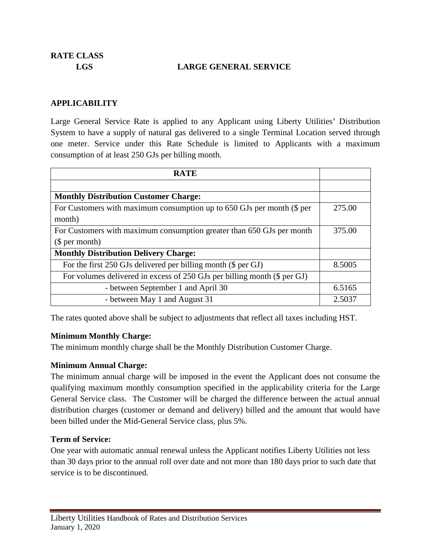**RATE CLASS**

# **LGS LARGE GENERAL SERVICE**

#### **APPLICABILITY**

Large General Service Rate is applied to any Applicant using Liberty Utilities' Distribution System to have a supply of natural gas delivered to a single Terminal Location served through one meter. Service under this Rate Schedule is limited to Applicants with a maximum consumption of at least 250 GJs per billing month.

| <b>RATE</b>                                                              |        |  |
|--------------------------------------------------------------------------|--------|--|
|                                                                          |        |  |
| <b>Monthly Distribution Customer Charge:</b>                             |        |  |
| For Customers with maximum consumption up to 650 GJs per month (\$ per   | 275.00 |  |
| month)                                                                   |        |  |
| For Customers with maximum consumption greater than 650 GJs per month    | 375.00 |  |
| \$per month)                                                             |        |  |
| <b>Monthly Distribution Delivery Charge:</b>                             |        |  |
| For the first 250 GJs delivered per billing month (\$ per GJ)            | 8.5005 |  |
| For volumes delivered in excess of 250 GJs per billing month (\$ per GJ) |        |  |
| - between September 1 and April 30                                       | 6.5165 |  |
| - between May 1 and August 31                                            | 2.5037 |  |

The rates quoted above shall be subject to adjustments that reflect all taxes including HST.

#### **Minimum Monthly Charge:**

The minimum monthly charge shall be the Monthly Distribution Customer Charge.

# **Minimum Annual Charge:**

The minimum annual charge will be imposed in the event the Applicant does not consume the qualifying maximum monthly consumption specified in the applicability criteria for the Large General Service class. The Customer will be charged the difference between the actual annual distribution charges (customer or demand and delivery) billed and the amount that would have been billed under the Mid-General Service class, plus 5%.

#### **Term of Service:**

One year with automatic annual renewal unless the Applicant notifies Liberty Utilities not less than 30 days prior to the annual roll over date and not more than 180 days prior to such date that service is to be discontinued.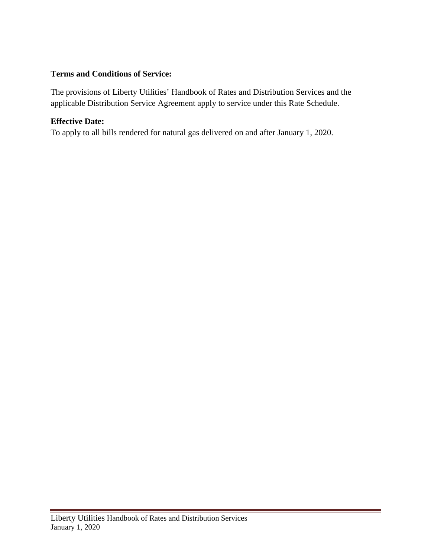# **Terms and Conditions of Service:**

The provisions of Liberty Utilities' Handbook of Rates and Distribution Services and the applicable Distribution Service Agreement apply to service under this Rate Schedule.

# **Effective Date:**

To apply to all bills rendered for natural gas delivered on and after January 1, 2020.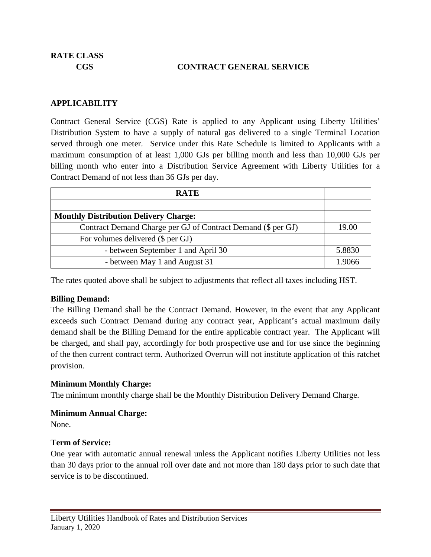# **CGS CONTRACT GENERAL SERVICE**

# **APPLICABILITY**

Contract General Service (CGS) Rate is applied to any Applicant using Liberty Utilities' Distribution System to have a supply of natural gas delivered to a single Terminal Location served through one meter. Service under this Rate Schedule is limited to Applicants with a maximum consumption of at least 1,000 GJs per billing month and less than 10,000 GJs per billing month who enter into a Distribution Service Agreement with Liberty Utilities for a Contract Demand of not less than 36 GJs per day.

| <b>RATE</b>                                                  |        |
|--------------------------------------------------------------|--------|
|                                                              |        |
| <b>Monthly Distribution Delivery Charge:</b>                 |        |
| Contract Demand Charge per GJ of Contract Demand (\$ per GJ) | 19.00  |
| For volumes delivered (\$ per GJ)                            |        |
| - between September 1 and April 30                           | 5.8830 |
| - between May 1 and August 31                                | 1 9066 |

The rates quoted above shall be subject to adjustments that reflect all taxes including HST.

# **Billing Demand:**

The Billing Demand shall be the Contract Demand. However, in the event that any Applicant exceeds such Contract Demand during any contract year, Applicant's actual maximum daily demand shall be the Billing Demand for the entire applicable contract year. The Applicant will be charged, and shall pay, accordingly for both prospective use and for use since the beginning of the then current contract term. Authorized Overrun will not institute application of this ratchet provision.

#### **Minimum Monthly Charge:**

The minimum monthly charge shall be the Monthly Distribution Delivery Demand Charge.

# **Minimum Annual Charge:**

None.

# **Term of Service:**

One year with automatic annual renewal unless the Applicant notifies Liberty Utilities not less than 30 days prior to the annual roll over date and not more than 180 days prior to such date that service is to be discontinued.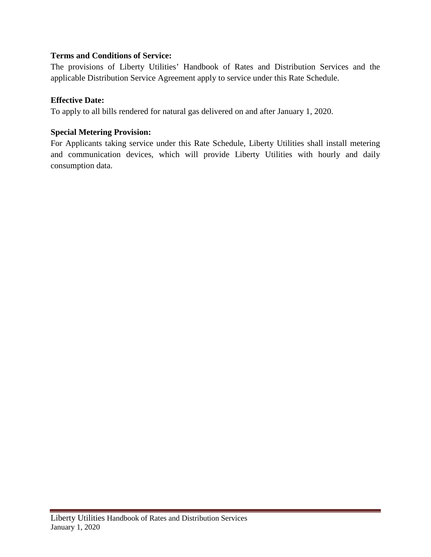# **Terms and Conditions of Service:**

The provisions of Liberty Utilities' Handbook of Rates and Distribution Services and the applicable Distribution Service Agreement apply to service under this Rate Schedule.

# **Effective Date:**

To apply to all bills rendered for natural gas delivered on and after January 1, 2020.

# **Special Metering Provision:**

For Applicants taking service under this Rate Schedule, Liberty Utilities shall install metering and communication devices, which will provide Liberty Utilities with hourly and daily consumption data.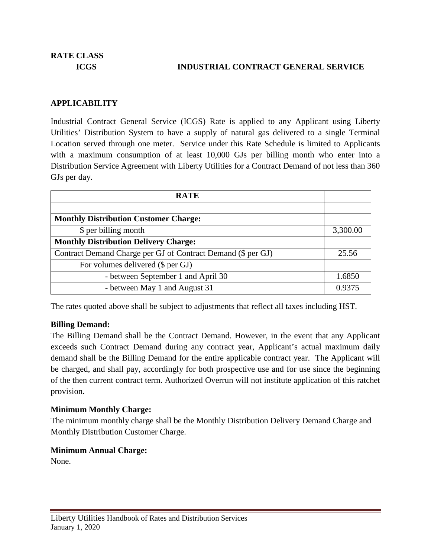# **ICGS INDUSTRIAL CONTRACT GENERAL SERVICE**

# **APPLICABILITY**

Industrial Contract General Service (ICGS) Rate is applied to any Applicant using Liberty Utilities' Distribution System to have a supply of natural gas delivered to a single Terminal Location served through one meter. Service under this Rate Schedule is limited to Applicants with a maximum consumption of at least 10,000 GJs per billing month who enter into a Distribution Service Agreement with Liberty Utilities for a Contract Demand of not less than 360 GJs per day.

| <b>RATE</b>                                                  |          |
|--------------------------------------------------------------|----------|
|                                                              |          |
| <b>Monthly Distribution Customer Charge:</b>                 |          |
| \$ per billing month                                         | 3,300.00 |
| <b>Monthly Distribution Delivery Charge:</b>                 |          |
| Contract Demand Charge per GJ of Contract Demand (\$ per GJ) |          |
| For volumes delivered (\$ per GJ)                            |          |
| - between September 1 and April 30                           | 1.6850   |
| - between May 1 and August 31                                | 0.9375   |

The rates quoted above shall be subject to adjustments that reflect all taxes including HST.

# **Billing Demand:**

The Billing Demand shall be the Contract Demand. However, in the event that any Applicant exceeds such Contract Demand during any contract year, Applicant's actual maximum daily demand shall be the Billing Demand for the entire applicable contract year. The Applicant will be charged, and shall pay, accordingly for both prospective use and for use since the beginning of the then current contract term. Authorized Overrun will not institute application of this ratchet provision.

# **Minimum Monthly Charge:**

The minimum monthly charge shall be the Monthly Distribution Delivery Demand Charge and Monthly Distribution Customer Charge.

# **Minimum Annual Charge:**

None.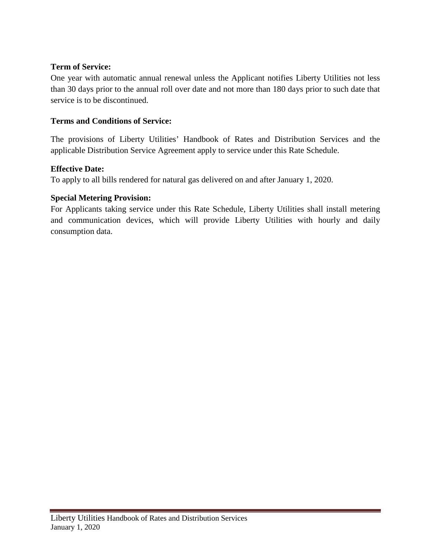# **Term of Service:**

One year with automatic annual renewal unless the Applicant notifies Liberty Utilities not less than 30 days prior to the annual roll over date and not more than 180 days prior to such date that service is to be discontinued.

# **Terms and Conditions of Service:**

The provisions of Liberty Utilities' Handbook of Rates and Distribution Services and the applicable Distribution Service Agreement apply to service under this Rate Schedule.

# **Effective Date:**

To apply to all bills rendered for natural gas delivered on and after January 1, 2020.

# **Special Metering Provision:**

For Applicants taking service under this Rate Schedule, Liberty Utilities shall install metering and communication devices, which will provide Liberty Utilities with hourly and daily consumption data.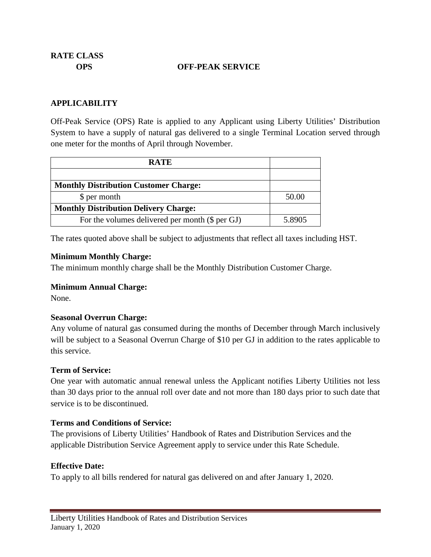**RATE CLASS**

#### **OPS OFF-PEAK SERVICE**

#### **APPLICABILITY**

Off-Peak Service (OPS) Rate is applied to any Applicant using Liberty Utilities' Distribution System to have a supply of natural gas delivered to a single Terminal Location served through one meter for the months of April through November.

| <b>RATE</b>                                     |        |
|-------------------------------------------------|--------|
|                                                 |        |
| <b>Monthly Distribution Customer Charge:</b>    |        |
| \$ per month                                    | 50.00  |
| <b>Monthly Distribution Delivery Charge:</b>    |        |
| For the volumes delivered per month (\$ per GJ) | 5.8905 |

The rates quoted above shall be subject to adjustments that reflect all taxes including HST.

#### **Minimum Monthly Charge:**

The minimum monthly charge shall be the Monthly Distribution Customer Charge.

#### **Minimum Annual Charge:**

None.

#### **Seasonal Overrun Charge:**

Any volume of natural gas consumed during the months of December through March inclusively will be subject to a Seasonal Overrun Charge of \$10 per GJ in addition to the rates applicable to this service.

#### **Term of Service:**

One year with automatic annual renewal unless the Applicant notifies Liberty Utilities not less than 30 days prior to the annual roll over date and not more than 180 days prior to such date that service is to be discontinued.

#### **Terms and Conditions of Service:**

The provisions of Liberty Utilities' Handbook of Rates and Distribution Services and the applicable Distribution Service Agreement apply to service under this Rate Schedule.

#### **Effective Date:**

To apply to all bills rendered for natural gas delivered on and after January 1, 2020.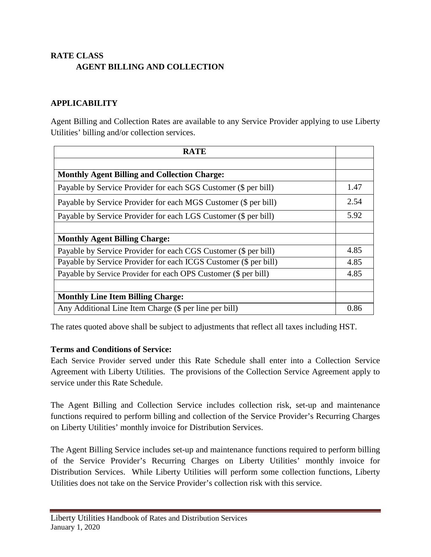# **RATE CLASS AGENT BILLING AND COLLECTION**

# **APPLICABILITY**

Agent Billing and Collection Rates are available to any Service Provider applying to use Liberty Utilities' billing and/or collection services.

| <b>RATE</b>                                                      |      |
|------------------------------------------------------------------|------|
|                                                                  |      |
| <b>Monthly Agent Billing and Collection Charge:</b>              |      |
| Payable by Service Provider for each SGS Customer (\$ per bill)  | 1.47 |
| Payable by Service Provider for each MGS Customer (\$ per bill)  | 2.54 |
| Payable by Service Provider for each LGS Customer (\$ per bill)  | 5.92 |
|                                                                  |      |
| <b>Monthly Agent Billing Charge:</b>                             |      |
| Payable by Service Provider for each CGS Customer (\$ per bill)  | 4.85 |
| Payable by Service Provider for each ICGS Customer (\$ per bill) | 4.85 |
| Payable by Service Provider for each OPS Customer (\$ per bill)  | 4.85 |
|                                                                  |      |
| <b>Monthly Line Item Billing Charge:</b>                         |      |
| Any Additional Line Item Charge (\$ per line per bill)           | 0.86 |

The rates quoted above shall be subject to adjustments that reflect all taxes including HST.

# **Terms and Conditions of Service:**

Each Service Provider served under this Rate Schedule shall enter into a Collection Service Agreement with Liberty Utilities. The provisions of the Collection Service Agreement apply to service under this Rate Schedule.

The Agent Billing and Collection Service includes collection risk, set-up and maintenance functions required to perform billing and collection of the Service Provider's Recurring Charges on Liberty Utilities' monthly invoice for Distribution Services.

The Agent Billing Service includes set-up and maintenance functions required to perform billing of the Service Provider's Recurring Charges on Liberty Utilities' monthly invoice for Distribution Services. While Liberty Utilities will perform some collection functions, Liberty Utilities does not take on the Service Provider's collection risk with this service.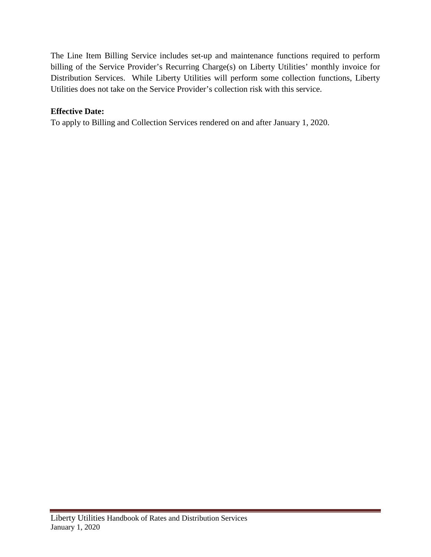The Line Item Billing Service includes set-up and maintenance functions required to perform billing of the Service Provider's Recurring Charge(s) on Liberty Utilities' monthly invoice for Distribution Services. While Liberty Utilities will perform some collection functions, Liberty Utilities does not take on the Service Provider's collection risk with this service.

# **Effective Date:**

To apply to Billing and Collection Services rendered on and after January 1, 2020.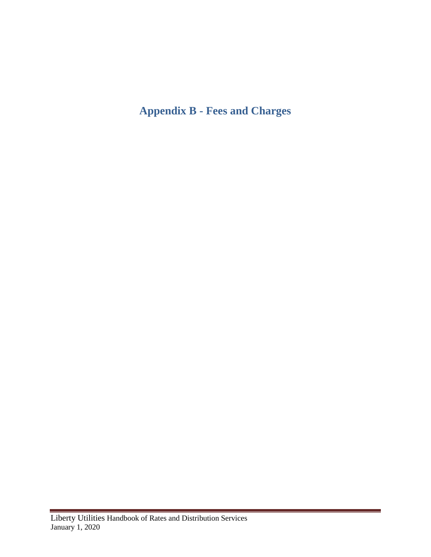# <span id="page-39-0"></span>**Appendix B - Fees and Charges**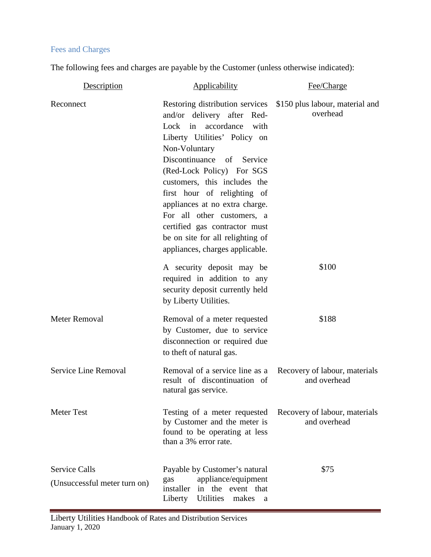# Fees and Charges

The following fees and charges are payable by the Customer (unless otherwise indicated):

| Description                                          | Applicability                                                                                                                                                                                                                                                                                                                                                                                                                                       | Fee/Charge                                    |
|------------------------------------------------------|-----------------------------------------------------------------------------------------------------------------------------------------------------------------------------------------------------------------------------------------------------------------------------------------------------------------------------------------------------------------------------------------------------------------------------------------------------|-----------------------------------------------|
| Reconnect                                            | Restoring distribution services<br>and/or delivery after Red-<br>Lock in accordance<br>with<br>Liberty Utilities' Policy on<br>Non-Voluntary<br>Discontinuance<br>Service<br>of<br>(Red-Lock Policy) For SGS<br>customers, this includes the<br>first hour of relighting of<br>appliances at no extra charge.<br>For all other customers, a<br>certified gas contractor must<br>be on site for all relighting of<br>appliances, charges applicable. | \$150 plus labour, material and<br>overhead   |
|                                                      | A security deposit may be<br>required in addition to any<br>security deposit currently held<br>by Liberty Utilities.                                                                                                                                                                                                                                                                                                                                | \$100                                         |
| <b>Meter Removal</b>                                 | Removal of a meter requested<br>by Customer, due to service<br>disconnection or required due<br>to theft of natural gas.                                                                                                                                                                                                                                                                                                                            | \$188                                         |
| Service Line Removal                                 | Removal of a service line as a<br>result of discontinuation of<br>natural gas service.                                                                                                                                                                                                                                                                                                                                                              | Recovery of labour, materials<br>and overhead |
| <b>Meter Test</b>                                    | Testing of a meter requested<br>by Customer and the meter is<br>found to be operating at less<br>than a 3% error rate.                                                                                                                                                                                                                                                                                                                              | Recovery of labour, materials<br>and overhead |
| <b>Service Calls</b><br>(Unsuccessful meter turn on) | Payable by Customer's natural<br>appliance/equipment<br>gas<br>installer<br>in the event that<br>Utilities<br>Liberty<br>makes<br>a                                                                                                                                                                                                                                                                                                                 | \$75                                          |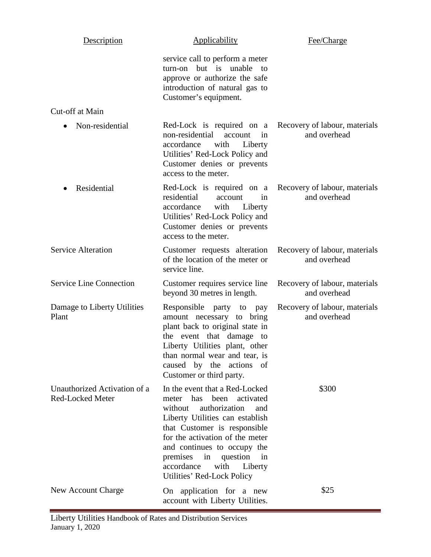| Description                                             | Applicability                                                                                                                                                                                                                                                                                                                            | Fee/Charge                                    |
|---------------------------------------------------------|------------------------------------------------------------------------------------------------------------------------------------------------------------------------------------------------------------------------------------------------------------------------------------------------------------------------------------------|-----------------------------------------------|
|                                                         | service call to perform a meter<br>but is<br>unable<br>turn-on<br>to<br>approve or authorize the safe<br>introduction of natural gas to<br>Customer's equipment.                                                                                                                                                                         |                                               |
| Cut-off at Main                                         |                                                                                                                                                                                                                                                                                                                                          |                                               |
| Non-residential                                         | Red-Lock is required on a<br>non-residential<br>account<br>in<br>with<br>Liberty<br>accordance<br>Utilities' Red-Lock Policy and<br>Customer denies or prevents<br>access to the meter.                                                                                                                                                  | Recovery of labour, materials<br>and overhead |
| Residential<br>$\bullet$                                | Red-Lock is required on a<br>residential<br>in<br>account<br>accordance<br>with<br>Liberty<br>Utilities' Red-Lock Policy and<br>Customer denies or prevents<br>access to the meter.                                                                                                                                                      | Recovery of labour, materials<br>and overhead |
| <b>Service Alteration</b>                               | Customer requests alteration<br>of the location of the meter or<br>service line.                                                                                                                                                                                                                                                         | Recovery of labour, materials<br>and overhead |
| <b>Service Line Connection</b>                          | Customer requires service line<br>beyond 30 metres in length.                                                                                                                                                                                                                                                                            | Recovery of labour, materials<br>and overhead |
| Damage to Liberty Utilities<br>Plant                    | Responsible party to pay<br>amount necessary to bring<br>plant back to original state in<br>the event that damage to<br>Liberty Utilities plant, other<br>than normal wear and tear, is<br>caused by the actions<br>of<br>Customer or third party.                                                                                       | Recovery of labour, materials<br>and overhead |
| Unauthorized Activation of a<br><b>Red-Locked Meter</b> | In the event that a Red-Locked<br>meter has<br>been activated<br>authorization<br>without<br>and<br>Liberty Utilities can establish<br>that Customer is responsible<br>for the activation of the meter<br>and continues to occupy the<br>premises<br>in<br>question<br>in<br>accordance<br>with<br>Liberty<br>Utilities' Red-Lock Policy | \$300                                         |
| New Account Charge                                      | On application for a new<br>account with Liberty Utilities.                                                                                                                                                                                                                                                                              | \$25                                          |